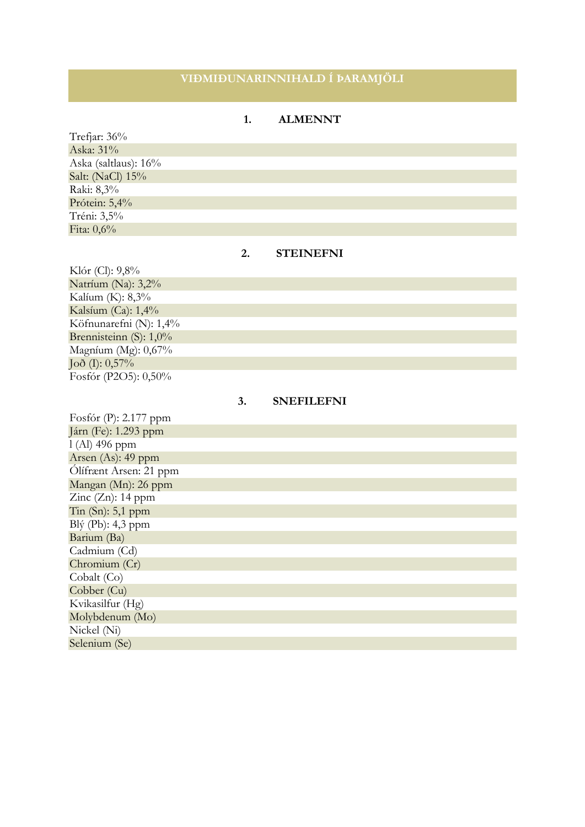## **VIÐMIÐUNARINNIHALD Í ÞARAMJÖLI**

### **1. ALMENNT**

Trefjar: 36% Aska: 31% Aska (saltlaus): 16% Salt: (NaCl) 15% Raki: 8,3% Prótein: 5,4% Tréni: 3,5% Fita: 0,6%

### **2. STEINEFNI**

Klór (Cl): 9,8% Natríum (Na): 3,2% Kalíum (K): 8,3% Kalsíum (Ca): 1,4% Köfnunarefni (N): 1,4% Brennisteinn (S): 1,0% Magníum (Mg): 0,67%  $Jo\delta$  (I):  $0,57\%$ Fosfór (P2O5): 0,50%

#### **3. SNEFILEFNI**

| Fosfór (P): 2.177 ppm  |
|------------------------|
| Járn (Fe): 1.293 ppm   |
| $1(A)$ 496 ppm         |
| Arsen (As): 49 ppm     |
| Ölífrænt Arsen: 21 ppm |
| Mangan (Mn): 26 ppm    |
| Zinc $(Zn)$ : 14 ppm   |
| Tin $(Sn)$ : 5,1 ppm   |
| Blý $(Pb)$ : 4,3 ppm   |
| Barium (Ba)            |
| Cadmium (Cd)           |
| Chromium (Cr)          |
| Cobalt (Co)            |
| Cobber (Cu)            |
| Kvikasilfur (Hg)       |
| Molybdenum (Mo)        |
| Nickel (Ni)            |
| Selenium (Se)          |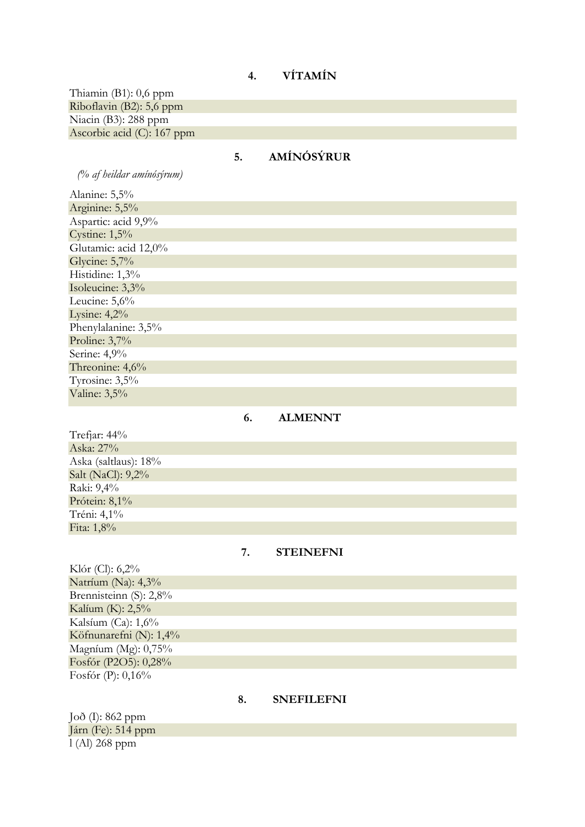# **4. VÍTAMÍN**

Thiamin (B1): 0,6 ppm Riboflavin (B2): 5,6 ppm Niacin (B3): 288 ppm Ascorbic acid (C): 167 ppm

# **5. AMÍNÓSÝRUR**

*(% af heildar amínósýrum)*

| Alanine: 5,5%        |
|----------------------|
| Arginine: 5,5%       |
| Aspartic: acid 9,9%  |
| Cystine: $1,5%$      |
| Glutamic: acid 12,0% |
| Glycine: 5,7%        |
| Histidine: 1,3%      |
| Isoleucine: 3,3%     |
| Leucine: $5,6\%$     |
| Lysine: $4,2%$       |
| Phenylalanine: 3,5%  |
| Proline: $3,7%$      |
| Serine: 4,9%         |
| Threonine: 4,6%      |
| Tyrosine: 3,5%       |
| Valine: 3,5%         |

## **6. ALMENNT**

| Trefjar: $44\%$      |
|----------------------|
| Aska: 27%            |
| Aska (saltlaus): 18% |
| Salt (NaCl): 9,2%    |
| Raki: 9,4%           |
| Prótein: 8,1%        |
| Tréni: 4,1%          |
| Fita: 1,8%           |

### **7. STEINEFNI**

| Klór (Cl): $6,2\%$        |
|---------------------------|
| Natríum (Na): $4,3\%$     |
| Brennisteinn $(S)$ : 2,8% |
| Kalíum (K): 2,5%          |
| Kalsíum (Ca): $1,6\%$     |
| Köfnunarefni (N): $1,4\%$ |
| Magníum (Mg): $0,75\%$    |
| Fosfór (P2O5): 0,28%      |
| Fosfór (P): $0,16\%$      |

### **8. SNEFILEFNI**

Joð (I): 862 ppm Járn (Fe): 514 ppm l (Al) 268 ppm